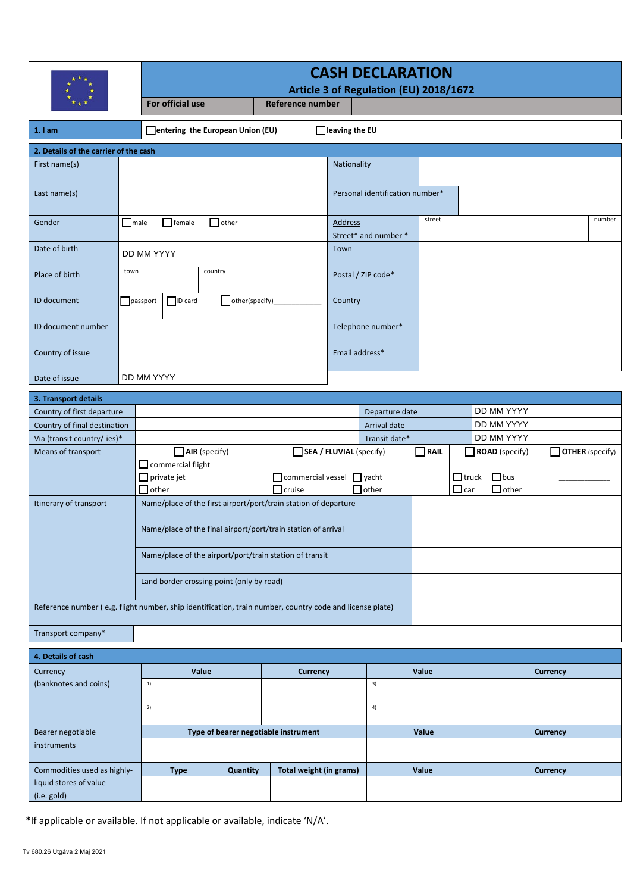|                                                                                                          |                                           | <b>CASH DECLARATION</b>                                         |                                                               |                |                                                       |                                        |                      |                            |                            |                 |                 |  |
|----------------------------------------------------------------------------------------------------------|-------------------------------------------|-----------------------------------------------------------------|---------------------------------------------------------------|----------------|-------------------------------------------------------|----------------------------------------|----------------------|----------------------------|----------------------------|-----------------|-----------------|--|
|                                                                                                          |                                           |                                                                 | For official use<br>Reference number                          |                |                                                       | Article 3 of Regulation (EU) 2018/1672 |                      |                            |                            |                 |                 |  |
|                                                                                                          |                                           |                                                                 |                                                               |                |                                                       |                                        |                      |                            |                            |                 |                 |  |
| entering the European Union (EU)<br>$\Box$ leaving the EU<br>1.1am                                       |                                           |                                                                 |                                                               |                |                                                       |                                        |                      |                            |                            |                 |                 |  |
| 2. Details of the carrier of the cash                                                                    |                                           |                                                                 |                                                               |                |                                                       |                                        |                      |                            |                            |                 |                 |  |
| First name(s)                                                                                            |                                           |                                                                 |                                                               |                |                                                       |                                        | Nationality          |                            |                            |                 |                 |  |
| Last name(s)                                                                                             |                                           |                                                                 |                                                               |                |                                                       | Personal identification number*        |                      |                            |                            |                 |                 |  |
| Gender                                                                                                   |                                           | $\Box$ male<br>female<br>$\Box$ other                           |                                                               |                |                                                       | <b>Address</b>                         | Street* and number * | street<br>number           |                            |                 |                 |  |
| Date of birth                                                                                            |                                           | DD MM YYYY                                                      |                                                               |                |                                                       | Town                                   |                      |                            |                            |                 |                 |  |
| Place of birth                                                                                           | town                                      |                                                                 | country                                                       |                |                                                       |                                        | Postal / ZIP code*   |                            |                            |                 |                 |  |
| ID document                                                                                              |                                           | ID card<br>passport                                             |                                                               | other(specify) |                                                       | Country                                |                      |                            |                            |                 |                 |  |
| ID document number                                                                                       |                                           |                                                                 |                                                               |                |                                                       |                                        | Telephone number*    |                            |                            |                 |                 |  |
| Country of issue                                                                                         |                                           |                                                                 |                                                               |                |                                                       | Email address*                         |                      |                            |                            |                 |                 |  |
| Date of issue                                                                                            |                                           | DD MM YYYY                                                      |                                                               |                |                                                       |                                        |                      |                            |                            |                 |                 |  |
| 3. Transport details                                                                                     |                                           |                                                                 |                                                               |                |                                                       |                                        |                      |                            |                            |                 |                 |  |
| Country of first departure                                                                               |                                           |                                                                 |                                                               |                |                                                       | Departure date                         |                      |                            |                            | DD MM YYYY      |                 |  |
| Country of final destination                                                                             |                                           |                                                                 |                                                               |                |                                                       | Arrival date                           |                      |                            |                            | DD MM YYYY      |                 |  |
| Via (transit country/-ies)*                                                                              |                                           |                                                                 |                                                               |                |                                                       | Transit date*                          |                      |                            |                            | DD MM YYYY      |                 |  |
| Means of transport                                                                                       |                                           | $\Box$ AIR (specify)                                            |                                                               |                | SEA / FLUVIAL (specify)<br>$\Box$ RAIL                |                                        |                      | ROAD (specify)             | $\Box$ OTHER (specify)     |                 |                 |  |
|                                                                                                          |                                           | $\Box$ commercial flight                                        |                                                               |                |                                                       |                                        |                      |                            |                            |                 |                 |  |
|                                                                                                          | $\Box$ private jet<br>$\Box$ other        |                                                                 |                                                               | $\Box$ cruise  | $\Box$ commercial vessel $\Box$ yacht<br>$\Box$ other |                                        |                      | $\Box$ truck<br>$\Box$ car | $\Box$ bus<br>$\Box$ other |                 |                 |  |
| Itinerary of transport                                                                                   |                                           | Name/place of the first airport/port/train station of departure |                                                               |                |                                                       |                                        |                      |                            |                            |                 |                 |  |
|                                                                                                          |                                           |                                                                 | Name/place of the final airport/port/train station of arrival |                |                                                       |                                        |                      |                            |                            |                 |                 |  |
|                                                                                                          |                                           | Name/place of the airport/port/train station of transit         |                                                               |                |                                                       |                                        |                      |                            |                            |                 |                 |  |
|                                                                                                          | Land border crossing point (only by road) |                                                                 |                                                               |                |                                                       |                                        |                      |                            |                            |                 |                 |  |
| Reference number (e.g. flight number, ship identification, train number, country code and license plate) |                                           |                                                                 |                                                               |                |                                                       |                                        |                      |                            |                            |                 |                 |  |
| Transport company*                                                                                       |                                           |                                                                 |                                                               |                |                                                       |                                        |                      |                            |                            |                 |                 |  |
| 4. Details of cash                                                                                       |                                           |                                                                 |                                                               |                |                                                       |                                        |                      |                            |                            |                 |                 |  |
| Currency                                                                                                 |                                           |                                                                 | Value                                                         |                | <b>Currency</b>                                       |                                        |                      | Value                      |                            |                 | <b>Currency</b> |  |
| (banknotes and coins)                                                                                    |                                           |                                                                 | 1)                                                            |                |                                                       |                                        |                      | 3)                         |                            |                 |                 |  |
|                                                                                                          |                                           | 2)                                                              |                                                               |                |                                                       | 4)                                     |                      |                            |                            |                 |                 |  |
| Bearer negotiable                                                                                        |                                           | Type of bearer negotiable instrument                            |                                                               |                |                                                       | Value                                  |                      |                            |                            | <b>Currency</b> |                 |  |
| instruments                                                                                              |                                           |                                                                 |                                                               |                |                                                       |                                        |                      |                            |                            |                 |                 |  |
| Commodities used as highly-                                                                              |                                           | <b>Type</b>                                                     |                                                               | Quantity       | Total weight (in grams)                               |                                        |                      | Value                      |                            | <b>Currency</b> |                 |  |
| liquid stores of value<br>(i.e. gold)                                                                    |                                           |                                                                 |                                                               |                |                                                       |                                        |                      |                            |                            |                 |                 |  |
|                                                                                                          |                                           |                                                                 |                                                               |                |                                                       |                                        |                      |                            |                            |                 |                 |  |

\*If applicable or available. If not applicable or available, indicate 'N/A'.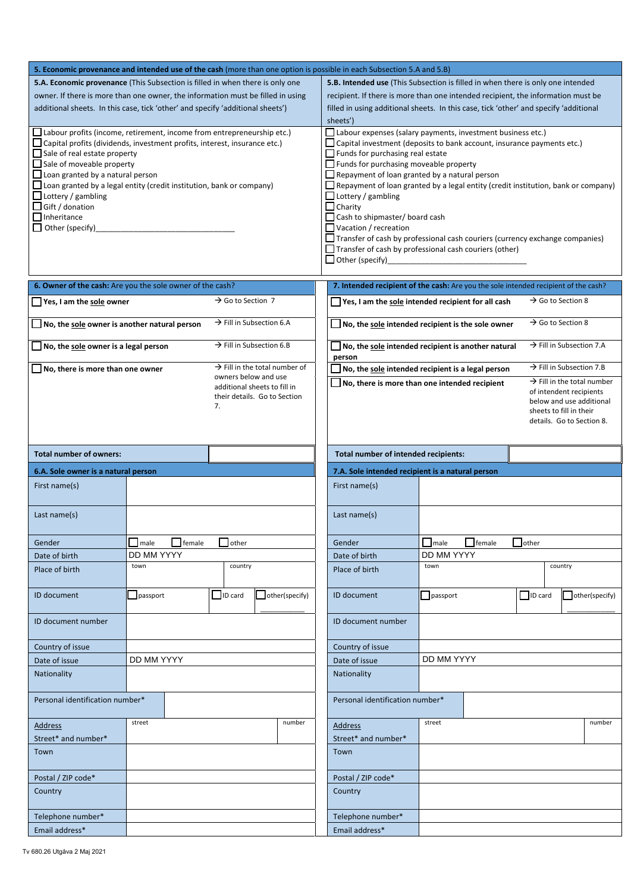|                                                                                             |                                                                                          |                                                                                  |                                                                                       | 5. Economic provenance and intended use of the cash (more than one option is possible in each Subsection 5.A and 5.B) |                                                                                           |               |                               |                                                     |  |  |
|---------------------------------------------------------------------------------------------|------------------------------------------------------------------------------------------|----------------------------------------------------------------------------------|---------------------------------------------------------------------------------------|-----------------------------------------------------------------------------------------------------------------------|-------------------------------------------------------------------------------------------|---------------|-------------------------------|-----------------------------------------------------|--|--|
| <b>5.A. Economic provenance</b> (This Subsection is filled in when there is only one        |                                                                                          |                                                                                  |                                                                                       | 5.B. Intended use (This Subsection is filled in when there is only one intended                                       |                                                                                           |               |                               |                                                     |  |  |
| owner. If there is more than one owner, the information must be filled in using             |                                                                                          | recipient. If there is more than one intended recipient, the information must be |                                                                                       |                                                                                                                       |                                                                                           |               |                               |                                                     |  |  |
| additional sheets. In this case, tick 'other' and specify 'additional sheets')              |                                                                                          |                                                                                  | filled in using additional sheets. In this case, tick 'other' and specify 'additional |                                                                                                                       |                                                                                           |               |                               |                                                     |  |  |
|                                                                                             |                                                                                          |                                                                                  |                                                                                       | sheets')                                                                                                              |                                                                                           |               |                               |                                                     |  |  |
| $\Box$ Labour profits (income, retirement, income from entrepreneurship etc.)               |                                                                                          |                                                                                  |                                                                                       | Labour expenses (salary payments, investment business etc.)                                                           |                                                                                           |               |                               |                                                     |  |  |
| $\Box$ Capital profits (dividends, investment profits, interest, insurance etc.)            | Capital investment (deposits to bank account, insurance payments etc.)                   |                                                                                  |                                                                                       |                                                                                                                       |                                                                                           |               |                               |                                                     |  |  |
| $\Box$ Sale of real estate property                                                         | $\Box$ Funds for purchasing real estate                                                  |                                                                                  |                                                                                       |                                                                                                                       |                                                                                           |               |                               |                                                     |  |  |
| $\Box$ Sale of moveable property                                                            |                                                                                          |                                                                                  |                                                                                       | $\Box$ Funds for purchasing moveable property                                                                         |                                                                                           |               |                               |                                                     |  |  |
| $\Box$ Loan granted by a natural person                                                     | $\Box$ Repayment of loan granted by a natural person                                     |                                                                                  |                                                                                       |                                                                                                                       |                                                                                           |               |                               |                                                     |  |  |
| $\Box$ Loan granted by a legal entity (credit institution, bank or company)                 | $\Box$ Repayment of loan granted by a legal entity (credit institution, bank or company) |                                                                                  |                                                                                       |                                                                                                                       |                                                                                           |               |                               |                                                     |  |  |
| $\Box$ Lottery / gambling<br>Gift / donation                                                |                                                                                          |                                                                                  |                                                                                       | $\Box$ Lottery / gambling<br>$\Box$ Charity                                                                           |                                                                                           |               |                               |                                                     |  |  |
| $\Box$ Inheritance                                                                          |                                                                                          |                                                                                  |                                                                                       |                                                                                                                       |                                                                                           |               |                               |                                                     |  |  |
| $\Box$ Other (specify)                                                                      | $\Box$ Vacation / recreation                                                             | Cash to shipmaster/ board cash                                                   |                                                                                       |                                                                                                                       |                                                                                           |               |                               |                                                     |  |  |
|                                                                                             | Transfer of cash by professional cash couriers (currency exchange companies)             |                                                                                  |                                                                                       |                                                                                                                       |                                                                                           |               |                               |                                                     |  |  |
|                                                                                             | $\Box$ Transfer of cash by professional cash couriers (other)                            |                                                                                  |                                                                                       |                                                                                                                       |                                                                                           |               |                               |                                                     |  |  |
|                                                                                             |                                                                                          |                                                                                  |                                                                                       |                                                                                                                       |                                                                                           |               |                               |                                                     |  |  |
|                                                                                             |                                                                                          |                                                                                  |                                                                                       |                                                                                                                       |                                                                                           |               |                               |                                                     |  |  |
| 6. Owner of the cash: Are you the sole owner of the cash?                                   |                                                                                          |                                                                                  |                                                                                       | 7. Intended recipient of the cash: Are you the sole intended recipient of the cash?                                   |                                                                                           |               |                               |                                                     |  |  |
| Yes, I am the sole owner                                                                    |                                                                                          | $\rightarrow$ Go to Section 7                                                    |                                                                                       | $\Box$ Yes, I am the sole intended recipient for all cash                                                             |                                                                                           |               | $\rightarrow$ Go to Section 8 |                                                     |  |  |
| $\rightarrow$ Fill in Subsection 6.A<br>$\Box$ No, the sole owner is another natural person |                                                                                          |                                                                                  |                                                                                       |                                                                                                                       | $\rightarrow$ Go to Section 8<br>$\Box$ No, the sole intended recipient is the sole owner |               |                               |                                                     |  |  |
| $\rightarrow$ Fill in Subsection 6.B<br>$\Box$ No, the sole owner is a legal person         |                                                                                          |                                                                                  |                                                                                       | $\Box$ No, the sole intended recipient is another natural<br>person                                                   |                                                                                           |               |                               | $\rightarrow$ Fill in Subsection 7.A                |  |  |
| No, there is more than one owner                                                            |                                                                                          |                                                                                  | $\rightarrow$ Fill in the total number of                                             | No, the sole intended recipient is a legal person                                                                     |                                                                                           |               |                               | $\rightarrow$ Fill in Subsection 7.B                |  |  |
|                                                                                             |                                                                                          | owners below and use<br>additional sheets to fill in                             |                                                                                       | $\Box$ No, there is more than one intended recipient                                                                  |                                                                                           |               |                               | $\rightarrow$ Fill in the total number              |  |  |
|                                                                                             |                                                                                          |                                                                                  | their details. Go to Section                                                          |                                                                                                                       |                                                                                           |               |                               | of intendent recipients                             |  |  |
|                                                                                             |                                                                                          | 7.                                                                               |                                                                                       |                                                                                                                       |                                                                                           |               |                               | below and use additional<br>sheets to fill in their |  |  |
|                                                                                             |                                                                                          |                                                                                  |                                                                                       |                                                                                                                       |                                                                                           |               |                               | details. Go to Section 8.                           |  |  |
|                                                                                             |                                                                                          |                                                                                  |                                                                                       |                                                                                                                       |                                                                                           |               |                               |                                                     |  |  |
|                                                                                             |                                                                                          |                                                                                  |                                                                                       |                                                                                                                       |                                                                                           |               |                               |                                                     |  |  |
| <b>Total number of owners:</b>                                                              | Total number of intended recipients:                                                     |                                                                                  |                                                                                       |                                                                                                                       |                                                                                           |               |                               |                                                     |  |  |
| 6.A. Sole owner is a natural person                                                         |                                                                                          |                                                                                  |                                                                                       | 7.A. Sole intended recipient is a natural person                                                                      |                                                                                           |               |                               |                                                     |  |  |
| First name(s)                                                                               |                                                                                          |                                                                                  |                                                                                       | First name(s)                                                                                                         |                                                                                           |               |                               |                                                     |  |  |
|                                                                                             |                                                                                          |                                                                                  |                                                                                       |                                                                                                                       |                                                                                           |               |                               |                                                     |  |  |
| Last name $(s)$                                                                             |                                                                                          |                                                                                  |                                                                                       | Last name(s)                                                                                                          |                                                                                           |               |                               |                                                     |  |  |
|                                                                                             |                                                                                          |                                                                                  |                                                                                       |                                                                                                                       |                                                                                           |               |                               |                                                     |  |  |
| Gender                                                                                      |                                                                                          |                                                                                  |                                                                                       |                                                                                                                       |                                                                                           |               |                               |                                                     |  |  |
|                                                                                             |                                                                                          |                                                                                  |                                                                                       |                                                                                                                       |                                                                                           |               |                               |                                                     |  |  |
|                                                                                             | $\Box$ male $\Box$ female                                                                | $\Box$ other                                                                     |                                                                                       | Gender                                                                                                                | $\Box$ male                                                                               | $\Box$ female | $\Box$ other                  |                                                     |  |  |
| Date of birth                                                                               | DD MM YYYY                                                                               |                                                                                  |                                                                                       | Date of birth                                                                                                         | DD MM YYYY                                                                                |               |                               |                                                     |  |  |
| Place of birth                                                                              | town                                                                                     | country                                                                          |                                                                                       | Place of birth                                                                                                        | town                                                                                      |               |                               | country                                             |  |  |
|                                                                                             |                                                                                          |                                                                                  |                                                                                       |                                                                                                                       |                                                                                           |               |                               |                                                     |  |  |
| ID document                                                                                 | $\Box$ passport                                                                          | $\Box$ ID card                                                                   | other(specify)                                                                        | ID document                                                                                                           | passport                                                                                  |               | $\Box$ ID card                | other(specify)                                      |  |  |
|                                                                                             |                                                                                          |                                                                                  |                                                                                       |                                                                                                                       |                                                                                           |               |                               |                                                     |  |  |
| ID document number                                                                          |                                                                                          |                                                                                  |                                                                                       | ID document number                                                                                                    |                                                                                           |               |                               |                                                     |  |  |
|                                                                                             |                                                                                          |                                                                                  |                                                                                       |                                                                                                                       |                                                                                           |               |                               |                                                     |  |  |
| Country of issue                                                                            |                                                                                          |                                                                                  |                                                                                       | Country of issue                                                                                                      |                                                                                           |               |                               |                                                     |  |  |
| Date of issue                                                                               | DD MM YYYY                                                                               |                                                                                  |                                                                                       | Date of issue                                                                                                         | DD MM YYYY                                                                                |               |                               |                                                     |  |  |
|                                                                                             |                                                                                          |                                                                                  |                                                                                       | Nationality                                                                                                           |                                                                                           |               |                               |                                                     |  |  |
| Nationality                                                                                 |                                                                                          |                                                                                  |                                                                                       |                                                                                                                       |                                                                                           |               |                               |                                                     |  |  |
|                                                                                             |                                                                                          |                                                                                  |                                                                                       |                                                                                                                       |                                                                                           |               |                               |                                                     |  |  |
| Personal identification number*                                                             |                                                                                          |                                                                                  |                                                                                       | Personal identification number*                                                                                       |                                                                                           |               |                               |                                                     |  |  |
|                                                                                             | street                                                                                   |                                                                                  | number                                                                                |                                                                                                                       | street                                                                                    |               |                               | number                                              |  |  |
| Address                                                                                     |                                                                                          |                                                                                  |                                                                                       | Address                                                                                                               |                                                                                           |               |                               |                                                     |  |  |
| Street* and number*                                                                         |                                                                                          |                                                                                  |                                                                                       | Street* and number*                                                                                                   |                                                                                           |               |                               |                                                     |  |  |
| Town                                                                                        |                                                                                          |                                                                                  |                                                                                       | Town                                                                                                                  |                                                                                           |               |                               |                                                     |  |  |
|                                                                                             |                                                                                          |                                                                                  |                                                                                       |                                                                                                                       |                                                                                           |               |                               |                                                     |  |  |
| Postal / ZIP code*                                                                          |                                                                                          |                                                                                  |                                                                                       | Postal / ZIP code*                                                                                                    |                                                                                           |               |                               |                                                     |  |  |
| Country                                                                                     |                                                                                          |                                                                                  |                                                                                       | Country                                                                                                               |                                                                                           |               |                               |                                                     |  |  |
|                                                                                             |                                                                                          |                                                                                  |                                                                                       |                                                                                                                       |                                                                                           |               |                               |                                                     |  |  |
| Telephone number*                                                                           |                                                                                          |                                                                                  |                                                                                       | Telephone number*                                                                                                     |                                                                                           |               |                               |                                                     |  |  |
| Email address*                                                                              |                                                                                          |                                                                                  |                                                                                       | Email address*                                                                                                        |                                                                                           |               |                               |                                                     |  |  |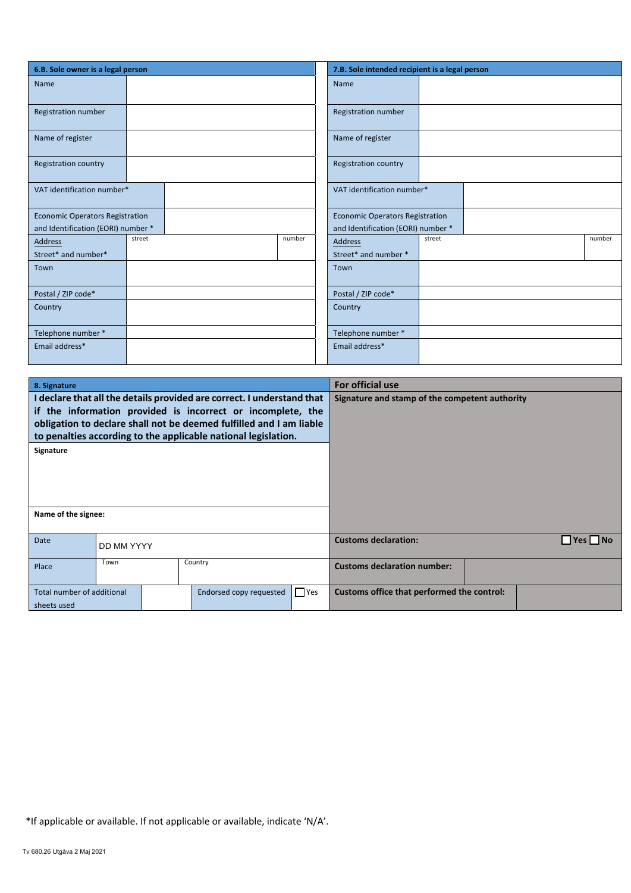| 6.B. Sole owner is a legal person      |        |        | 7.B. Sole intended recipient is a legal person |  |  |  |  |
|----------------------------------------|--------|--------|------------------------------------------------|--|--|--|--|
| Name                                   |        |        | Name                                           |  |  |  |  |
| Registration number                    |        |        | Registration number                            |  |  |  |  |
| Name of register                       |        |        | Name of register                               |  |  |  |  |
| <b>Registration country</b>            |        |        | <b>Registration country</b>                    |  |  |  |  |
| VAT identification number*             |        |        | VAT identification number*                     |  |  |  |  |
| <b>Economic Operators Registration</b> |        |        | <b>Economic Operators Registration</b>         |  |  |  |  |
| and Identification (EORI) number *     |        |        | and Identification (EORI) number *             |  |  |  |  |
| <b>Address</b>                         | street | number | number<br>street<br><b>Address</b>             |  |  |  |  |
| Street* and number*                    |        |        | Street* and number *                           |  |  |  |  |
| Town                                   |        |        | Town                                           |  |  |  |  |
| Postal / ZIP code*                     |        |        | Postal / ZIP code*                             |  |  |  |  |
| Country                                |        |        | Country                                        |  |  |  |  |
| Telephone number *                     |        |        | Telephone number *                             |  |  |  |  |
| Email address*                         |        |        | Email address*                                 |  |  |  |  |

| 8. Signature                              |                                                                |                                                                                                                                                                                                              | <b>For official use</b>                        |  |  |  |
|-------------------------------------------|----------------------------------------------------------------|--------------------------------------------------------------------------------------------------------------------------------------------------------------------------------------------------------------|------------------------------------------------|--|--|--|
|                                           | to penalties according to the applicable national legislation. | I declare that all the details provided are correct. I understand that<br>if the information provided is incorrect or incomplete, the<br>obligation to declare shall not be deemed fulfilled and I am liable | Signature and stamp of the competent authority |  |  |  |
| Signature                                 |                                                                |                                                                                                                                                                                                              |                                                |  |  |  |
| Name of the signee:                       |                                                                |                                                                                                                                                                                                              |                                                |  |  |  |
| Date                                      | DD MM YYYY                                                     |                                                                                                                                                                                                              | <b>No</b><br><b>Customs declaration:</b>       |  |  |  |
| Place                                     | Town<br>Country                                                |                                                                                                                                                                                                              | <b>Customs declaration number:</b>             |  |  |  |
| Total number of additional<br>sheets used |                                                                | $\Box$ Yes<br>Endorsed copy requested                                                                                                                                                                        | Customs office that performed the control:     |  |  |  |

\*If applicable or available. If not applicable or available, indicate 'N/A'.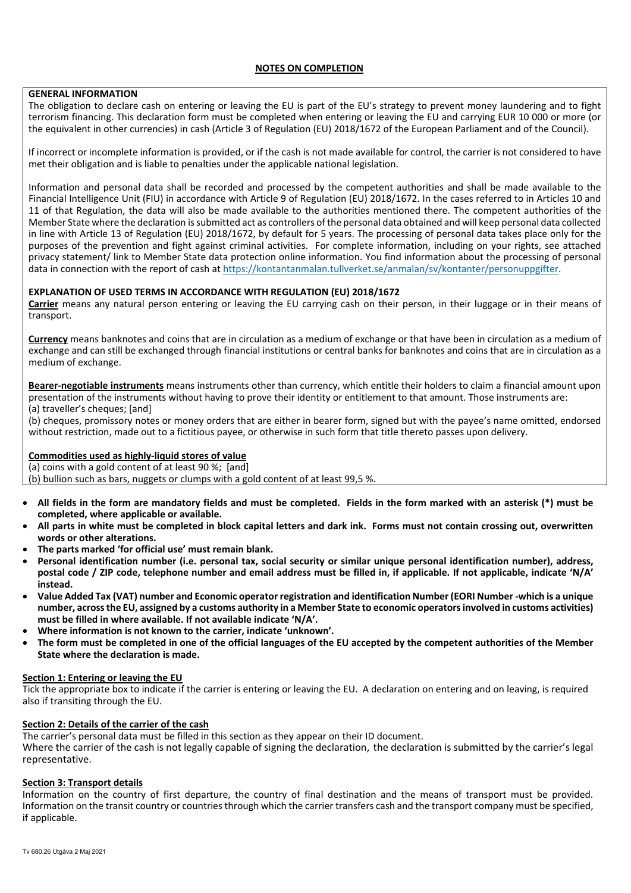### **NOTES ON COMPLETION**

# **GENERAL INFORMATION**

 the equivalent in other currencies) in cash (Article 3 of Regulation (EU) 2018/1672 of the European Parliament and of the Council). The obligation to declare cash on entering or leaving the EU is part of the EU's strategy to prevent money laundering and to fight terrorism financing. This declaration form must be completed when entering or leaving the EU and carrying EUR 10 000 or more (or

 met their obligation and is liable to penalties under the applicable national legislation. If incorrect or incomplete information is provided, or if the cash is not made available for control, the carrier is not considered to have

 Financial Intelligence Unit (FIU) in accordance with Article 9 of Regulation (EU) 2018/1672. In the cases referred to in Articles 10 and 11 of that Regulation, the data will also be made available to the authorities mentioned there. The competent authorities of the Member State where the declaration is submitted act as controllers of the personal data obtained and will keep personal data collected in line with Article 13 of Regulation (EU) 2018/1672, by default for 5 years. The processing of personal data takes place only for the data in connection with the report of cash at https://kontantanmalan.tullverket.se/anmalan/sv/kontanter/personuppgifter. Information and personal data shall be recorded and processed by the competent authorities and shall be made available to the purposes of the prevention and fight against criminal activities. For complete information, including on your rights, see attached privacy statement/ link to Member State data protection online information. You find information about the processing of personal

## **EXPLANATION OF USED TERMS IN ACCORDANCE WITH REGULATION (EU) 2018/1672**

**Carrier** means any natural person entering or leaving the EU carrying cash on their person, in their luggage or in their means of transport.

**Currency** means banknotes and coins that are in circulation as a medium of exchange or that have been in circulation as a medium of exchange and can still be exchanged through financial institutions or central banks for banknotes and coins that are in circulation as a medium of exchange.

**Bearer-negotiable instruments** means instruments other than currency, which entitle their holders to claim a financial amount upon presentation of the instruments without having to prove their identity or entitlement to that amount. Those instruments are: (a) traveller's cheques; [and]

(b) cheques, promissory notes or money orders that are either in bearer form, signed but with the payee's name omitted, endorsed without restriction, made out to a fictitious payee, or otherwise in such form that title thereto passes upon delivery.

# **Commodities used as highly-liquid stores of value**

(a) coins with a gold content of at least 90 %; [and]

(b) bullion such as bars, nuggets or clumps with a gold content of at least 99,5 %.

- **All fields in the form are mandatory fields and must be completed. Fields in the form marked with an asterisk (\*) must be completed, where applicable or available.**
- **All parts in white must be completed in block capital letters and dark ink. Forms must not contain crossing out, overwritten words or other alterations.**
- **The parts marked 'for official use' must remain blank.**
- **Personal identification number (i.e. personal tax, social security or similar unique personal identification number), address, postal code / ZIP code, telephone number and email address must be filled in, if applicable. If not applicable, indicate 'N/A' instead.**
- **Value Added Tax (VAT) number and Economic operator registration and identification Number (EORI Number -which is a unique must be filled in where available. If not available indicate 'N/A'. number, across the EU, assigned by a customs authority in a Member State to economic operators involved in customs activities)**
- **Where information is not known to the carrier, indicate 'unknown'.**
- **The form must be completed in one of the official languages of the EU accepted by the competent authorities of the Member State where the declaration is made.**

#### **Section 1: Entering or leaving the EU**

 Tick the appropriate box to indicate if the carrier is entering or leaving the EU. A declaration on entering and on leaving, is required also if transiting through the EU.

### **Section 2: Details of the carrier of the cash**

The carrier's personal data must be filled in this section as they appear on their ID document.

 representative. Where the carrier of the cash is not legally capable of signing the declaration, the declaration is submitted by the carrier's legal

#### **Section 3: Transport details**

Information on the country of first departure, the country of final destination and the means of transport must be provided. Information on the transit country or countries through which the carrier transfers cash and the transport company must be specified, if applicable.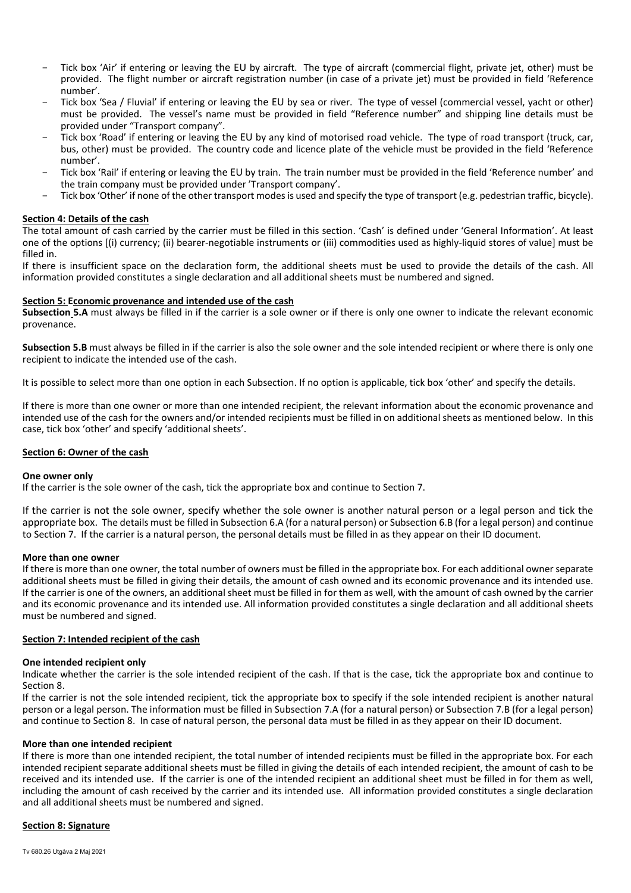- Tick box 'Air' if entering or leaving the EU by aircraft. The type of aircraft (commercial flight, private jet, other) must be provided. The flight number or aircraft registration number (in case of a private jet) must be provided in field 'Reference number'.
- must be provided. The vessel's name must be provided in field "Reference number" and shipping line details must be provided under "Transport company". Tick box 'Sea / Fluvial' if entering or leaving the EU by sea or river. The type of vessel (commercial vessel, yacht or other)
- - Tick box 'Road' if entering or leaving the EU by any kind of motorised road vehicle. The type of road transport (truck, car, bus, other) must be provided. The country code and licence plate of the vehicle must be provided in the field 'Reference number'.
- - Tick box 'Rail' if entering or leaving the EU by train. The train number must be provided in the field 'Reference number' and the train company must be provided under 'Transport company'.
- Tick box 'Other' if none of the other transport modes is used and specify the type of transport (e.g. pedestrian traffic, bicycle).

# **Section 4: Details of the cash**

 The total amount of cash carried by the carrier must be filled in this section. 'Cash' is defined under 'General Information'. At least one of the options [(i) currency; (ii) bearer-negotiable instruments or (iii) commodities used as highly-liquid stores of value] must be filled in.

If there is insufficient space on the declaration form, the additional sheets must be used to provide the details of the cash. All information provided constitutes a single declaration and all additional sheets must be numbered and signed.

#### **Section 5: Economic provenance and intended use of the cash**

 **Subsection 5.A** must always be filled in if the carrier is a sole owner or if there is only one owner to indicate the relevant economic provenance.

 **Subsection 5.B** must always be filled in if the carrier is also the sole owner and the sole intended recipient or where there is only one recipient to indicate the intended use of the cash.

It is possible to select more than one option in each Subsection. If no option is applicable, tick box 'other' and specify the details.

 If there is more than one owner or more than one intended recipient, the relevant information about the economic provenance and intended use of the cash for the owners and/or intended recipients must be filled in on additional sheets as mentioned below. In this case, tick box 'other' and specify 'additional sheets'.

# **Section 6: Owner of the cash**

#### **One owner only**

If the carrier is the sole owner of the cash, tick the appropriate box and continue to Section 7.

 If the carrier is not the sole owner, specify whether the sole owner is another natural person or a legal person and tick the to Section 7. If the carrier is a natural person, the personal details must be filled in as they appear on their ID document. appropriate box. The details must be filled in Subsection 6.A (for a natural person) or Subsection 6.B (for a legal person) and continue

#### **More than one owner**

 additional sheets must be filled in giving their details, the amount of cash owned and its economic provenance and its intended use. If the carrier is one of the owners, an additional sheet must be filled in for them as well, with the amount of cash owned by the carrier and its economic provenance and its intended use. All information provided constitutes a single declaration and all additional sheets If there is more than one owner, the total number of owners must be filled in the appropriate box. For each additional owner separate must be numbered and signed.

## **Section 7: Intended recipient of the cash**

#### **One intended recipient only**

Indicate whether the carrier is the sole intended recipient of the cash. If that is the case, tick the appropriate box and continue to Section 8.

 person or a legal person. The information must be filled in Subsection 7.A (for a natural person) or Subsection 7.B (for a legal person) and continue to Section 8. In case of natural person, the personal data must be filled in as they appear on their ID document. If the carrier is not the sole intended recipient, tick the appropriate box to specify if the sole intended recipient is another natural

#### **More than one intended recipient**

 If there is more than one intended recipient, the total number of intended recipients must be filled in the appropriate box. For each intended recipient separate additional sheets must be filled in giving the details of each intended recipient, the amount of cash to be received and its intended use. If the carrier is one of the intended recipient an additional sheet must be filled in for them as well, and all additional sheets must be numbered and signed. including the amount of cash received by the carrier and its intended use. All information provided constitutes a single declaration

## **Section 8: Signature**